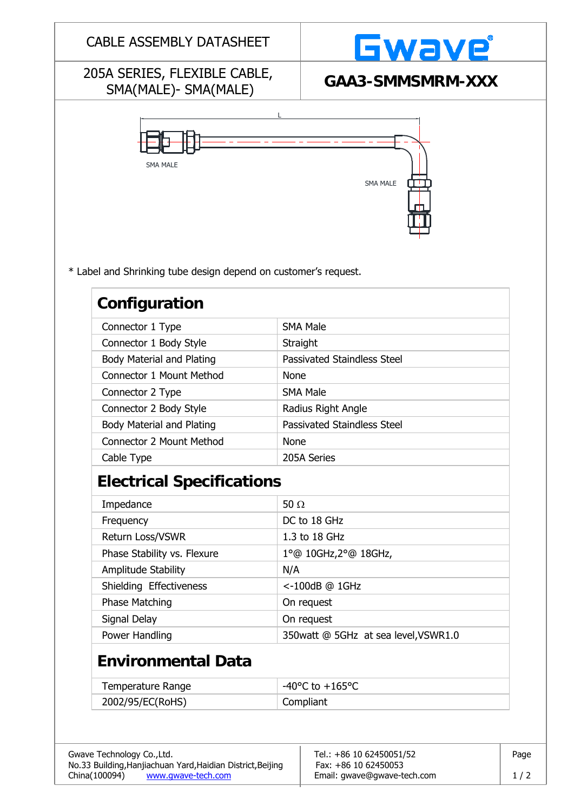